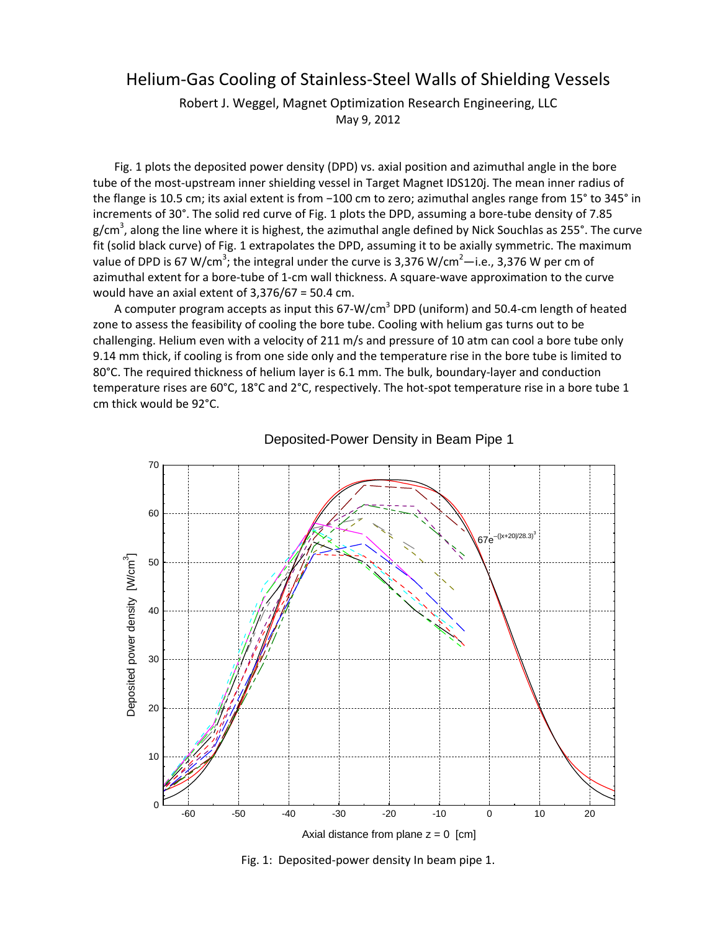## Helium‐Gas Cooling of Stainless‐Steel Walls of Shielding Vessels

Robert J. Weggel, Magnet Optimization Research Engineering, LLC May 9, 2012

Fig. 1 plots the deposited power density (DPD) vs. axial position and azimuthal angle in the bore tube of the most-upstream inner shielding vessel in Target Magnet IDS120j. The mean inner radius of the flange is 10.5 cm; its axial extent is from −100 cm to zero; azimuthal angles range from 15° to 345° in increments of 30°. The solid red curve of Fig. 1 plots the DPD, assuming a bore-tube density of 7.85 g/cm<sup>3</sup>, along the line where it is highest, the azimuthal angle defined by Nick Souchlas as 255°. The curve fit (solid black curve) of Fig. 1 extrapolates the DPD, assuming it to be axially symmetric. The maximum value of DPD is 67 W/cm<sup>3</sup>; the integral under the curve is 3,376 W/cm<sup>2</sup>—i.e., 3,376 W per cm of azimuthal extent for a bore-tube of 1-cm wall thickness. A square-wave approximation to the curve would have an axial extent of 3,376/67 = 50.4 cm.

A computer program accepts as input this 67-W/cm<sup>3</sup> DPD (uniform) and 50.4-cm length of heated zone to assess the feasibility of cooling the bore tube. Cooling with helium gas turns out to be challenging. Helium even with a velocity of 211 m/s and pressure of 10 atm can cool a bore tube only 9.14 mm thick, if cooling is from one side only and the temperature rise in the bore tube is limited to 80°C. The required thickness of helium layer is 6.1 mm. The bulk, boundary-layer and conduction temperature rises are 60°C, 18°C and 2°C, respectively. The hot-spot temperature rise in a bore tube 1 cm thick would be 92°C.





Fig. 1: Deposited‐power density In beam pipe 1.